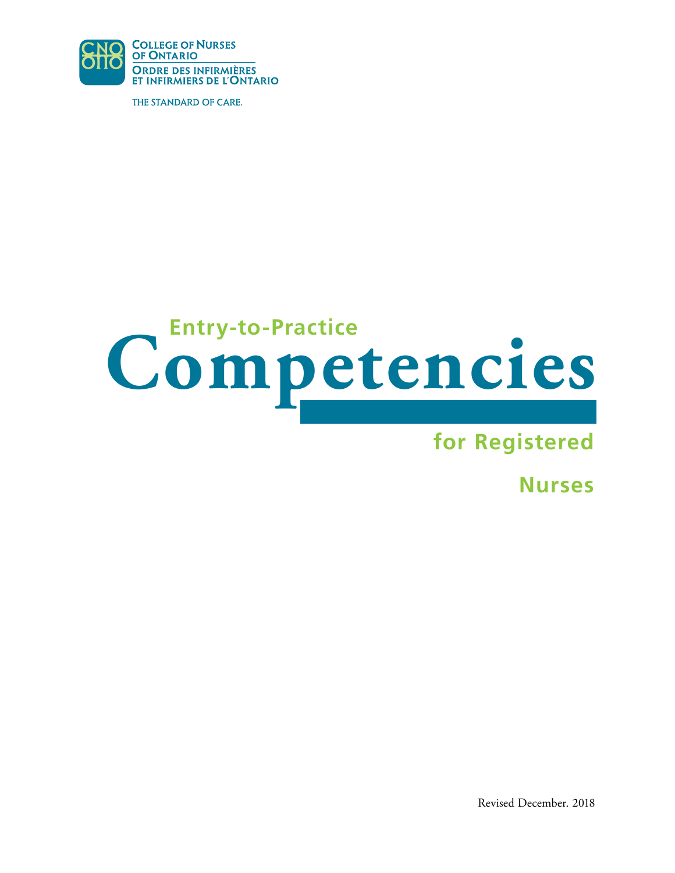

THE STANDARD OF CARE.

# **Entry-to-Practice Competencies**

# **for Registered**

**Nurses** 

Revised December. 2018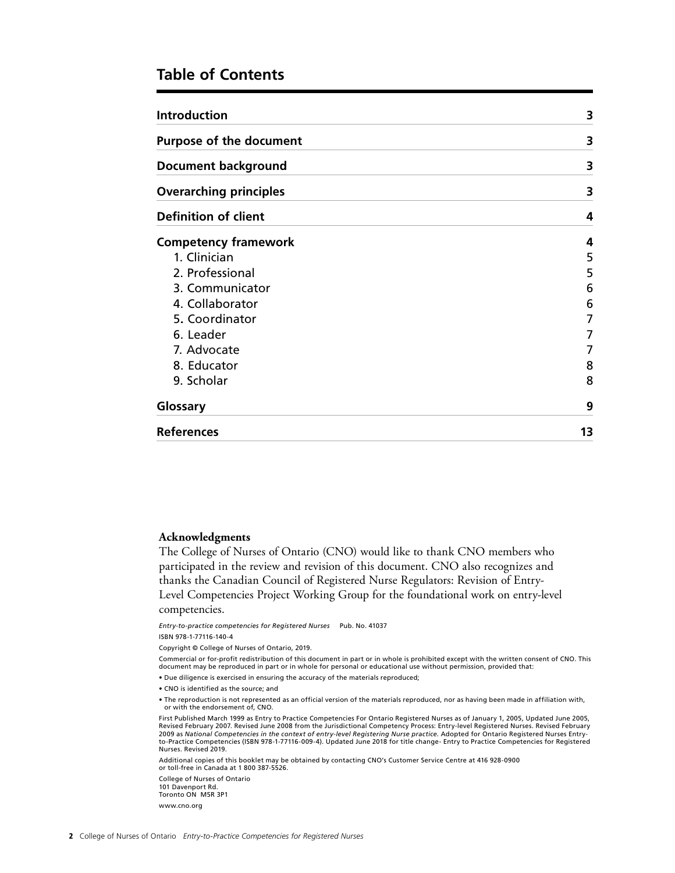### **Table of Contents**

| <b>Introduction</b>                                          | 3  |
|--------------------------------------------------------------|----|
| <b>Purpose of the document</b><br><b>Document background</b> | 3  |
|                                                              | 3  |
| <b>Overarching principles</b>                                | 3  |
| <b>Definition of client</b>                                  | 4  |
| <b>Competency framework</b>                                  | 4  |
| 1. Clinician                                                 | 5  |
| 2. Professional                                              | 5  |
| 3. Communicator                                              | 6  |
| 4. Collaborator                                              | 6  |
| 5. Coordinator                                               | 7  |
| 6. Leader                                                    | 7  |
| 7. Advocate                                                  | 7  |
| 8. Educator                                                  | 8  |
| 9. Scholar                                                   | 8  |
| Glossary                                                     | 9  |
| <b>References</b>                                            | 13 |

### **Acknowledgments**

The College of Nurses of Ontario (CNO) would like to thank CNO members who participated in the review and revision of this document. CNO also recognizes and thanks the Canadian Council of Registered Nurse Regulators: Revision of Entry-Level Competencies Project Working Group for the foundational work on entry-level competencies.

*Entry-to-practice competencies for Registered Nurses* Pub. No. 41037

ISBN 978-1-77116-140-4

Copyright © College of Nurses of Ontario, 2019.

Commercial or for-profit redistribution of this document in part or in whole is prohibited except with the written consent of CNO. This<br>document may be reproduced in part or in whole for personal or educational use without

• Due diligence is exercised in ensuring the accuracy of the materials reproduced;

• CNO is identified as the source; and

• The reproduction is not represented as an official version of the materials reproduced, nor as having been made in affiliation with, or with the endorsement of, CNO.

First Published March 1999 as Entry to Practice Competencies For Ontario Registered Nurses as of January 1, 2005, Updated June 2005, Revised February 2007. Revised June 2008 from the Jurisdictional Competency Process: Entry-level Registered Nurses. Revised February 2009 as *National Competencies in the context of entry-level Registering Nurse practice*. Adopted for Ontario Registered Nurses Entry-<br>to-Practice Competencies (ISBN 978-1-77116-009-4). Updated June 2018 for title change- Nurses. Revised 2019.

Additional copies of this booklet may be obtained by contacting CNO's Customer Service Centre at 416 928-0900 or toll-free in Canada at 1 800 387-5526.

College of Nurses of Ontario 101 Davenport Rd. Toronto ON M5R 3P1 www.cno.org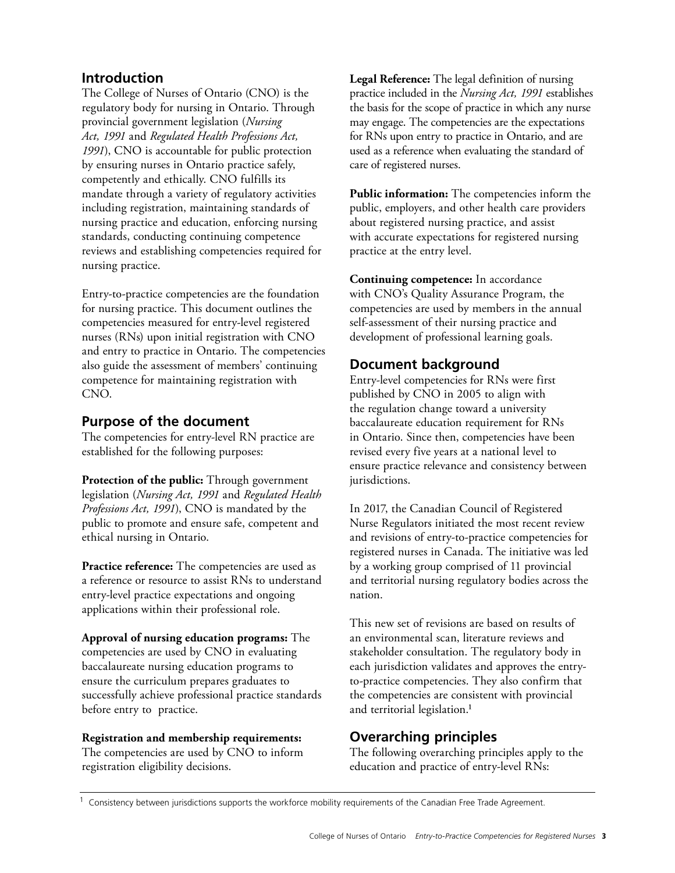## <span id="page-2-0"></span>**Introduction**

The College of Nurses of Ontario (CNO) is the regulatory body for nursing in Ontario. Through provincial government legislation (*Nursing Act, 1991* and *Regulated Health Professions Act, 1991*), CNO is accountable for public protection by ensuring nurses in Ontario practice safely, competently and ethically. CNO fulfills its mandate through a variety of regulatory activities including registration, maintaining standards of nursing practice and education, enforcing nursing standards, conducting continuing competence reviews and establishing competencies required for nursing practice.

Entry-to-practice competencies are the foundation for nursing practice. This document outlines the competencies measured for entry-level registered nurses (RNs) upon initial registration with CNO and entry to practice in Ontario. The competencies also guide the assessment of members' continuing competence for maintaining registration with CNO.

### **Purpose of the document**

The competencies for entry-level RN practice are established for the following purposes:

**Protection of the public:** Through government legislation (*Nursing Act, 1991* and *Regulated Health Professions Act, 1991*), CNO is mandated by the public to promote and ensure safe, competent and ethical nursing in Ontario.

**Practice reference:** The competencies are used as a reference or resource to assist RNs to understand entry-level practice expectations and ongoing applications within their professional role.

**Approval of nursing education programs:** The competencies are used by CNO in evaluating baccalaureate nursing education programs to ensure the curriculum prepares graduates to successfully achieve professional practice standards before entry to practice.

### **Registration and membership requirements:**

The competencies are used by CNO to inform registration eligibility decisions.

**Legal Reference:** The legal definition of nursing practice included in the *Nursing Act, 1991* establishes the basis for the scope of practice in which any nurse may engage. The competencies are the expectations for RNs upon entry to practice in Ontario, and are used as a reference when evaluating the standard of care of registered nurses.

**Public information:** The competencies inform the public, employers, and other health care providers about registered nursing practice, and assist with accurate expectations for registered nursing practice at the entry level.

**Continuing competence:** In accordance with CNO's Quality Assurance Program, the competencies are used by members in the annual self-assessment of their nursing practice and development of professional learning goals.

### **Document background**

Entry-level competencies for RNs were first published by CNO in 2005 to align with the regulation change toward a university baccalaureate education requirement for RNs in Ontario. Since then, competencies have been revised every five years at a national level to ensure practice relevance and consistency between jurisdictions.

In 2017, the Canadian Council of Registered Nurse Regulators initiated the most recent review and revisions of entry-to-practice competencies for registered nurses in Canada. The initiative was led by a working group comprised of 11 provincial and territorial nursing regulatory bodies across the nation.

This new set of revisions are based on results of an environmental scan, literature reviews and stakeholder consultation. The regulatory body in each jurisdiction validates and approves the entryto-practice competencies. They also confirm that the competencies are consistent with provincial and territorial legislation.<sup>1</sup>

# **Overarching principles**

The following overarching principles apply to the education and practice of entry-level RNs:

 $1$  Consistency between jurisdictions supports the workforce mobility requirements of the Canadian Free Trade Agreement.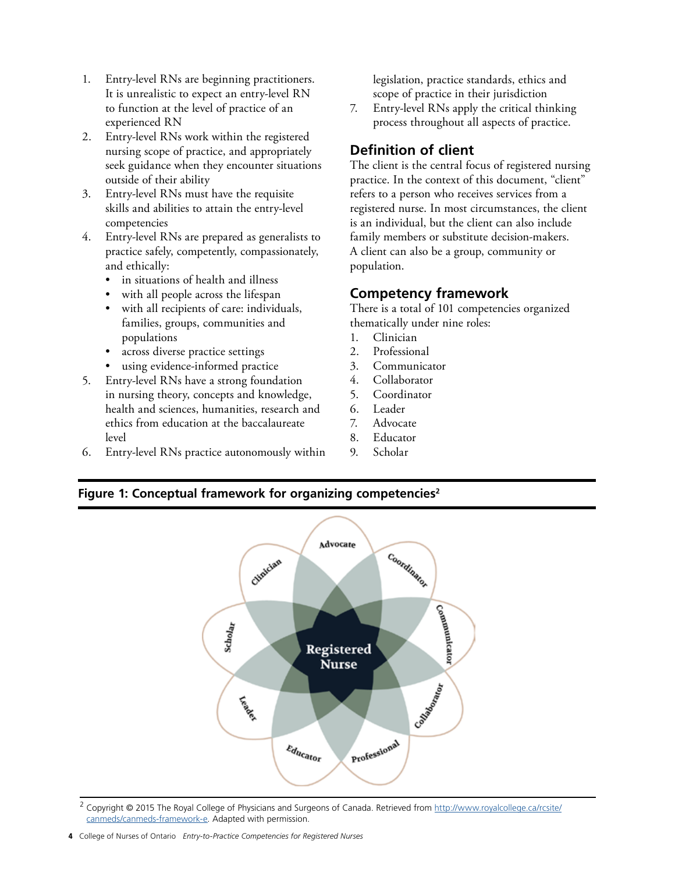- <span id="page-3-0"></span>1. Entry-level RNs are beginning practitioners. It is unrealistic to expect an entry-level RN to function at the level of practice of an experienced RN
- 2. Entry-level RNs work within the registered nursing scope of practice, and appropriately seek guidance when they encounter situations outside of their ability
- 3. Entry-level RNs must have the requisite skills and abilities to attain the entry-level competencies
- 4. Entry-level RNs are prepared as generalists to practice safely, competently, compassionately, and ethically:
	- in situations of health and illness
	- with all people across the lifespan
	- with all recipients of care: individuals, families, groups, communities and populations
	- across diverse practice settings
	- using evidence-informed practice
- 5. Entry-level RNs have a strong foundation in nursing theory, concepts and knowledge, health and sciences, humanities, research and ethics from education at the baccalaureate level
- 6. Entry-level RNs practice autonomously within

legislation, practice standards, ethics and scope of practice in their jurisdiction

7. Entry-level RNs apply the critical thinking process throughout all aspects of practice.

# **Definition of client**

The client is the central focus of registered nursing practice. In the context of this document, "client" refers to a person who receives services from a registered nurse. In most circumstances, the client is an individual, but the client can also include family members or substitute decision-makers. A client can also be a group, community or population.

### **Competency framework**

There is a total of 101 competencies organized thematically under nine roles:

- 1. Clinician
- 2. Professional
- 3. Communicator
- 4. Collaborator
- 5. Coordinator
- 6. Leader
- 7. Advocate
- 8. Educator
- 9. Scholar

### **Figure 1: Conceptual framework for organizing competencies2**



<sup>2</sup> Copyright © 2015 The Royal College of Physicians and Surgeons of Canada. Retrieved from http://www.royalcollege.ca/rcsite/ [canmeds/canmeds-framework-e.](http://www.royalcollege.ca/rcsite/ canmeds/canmeds-framework-e) Adapted with permission.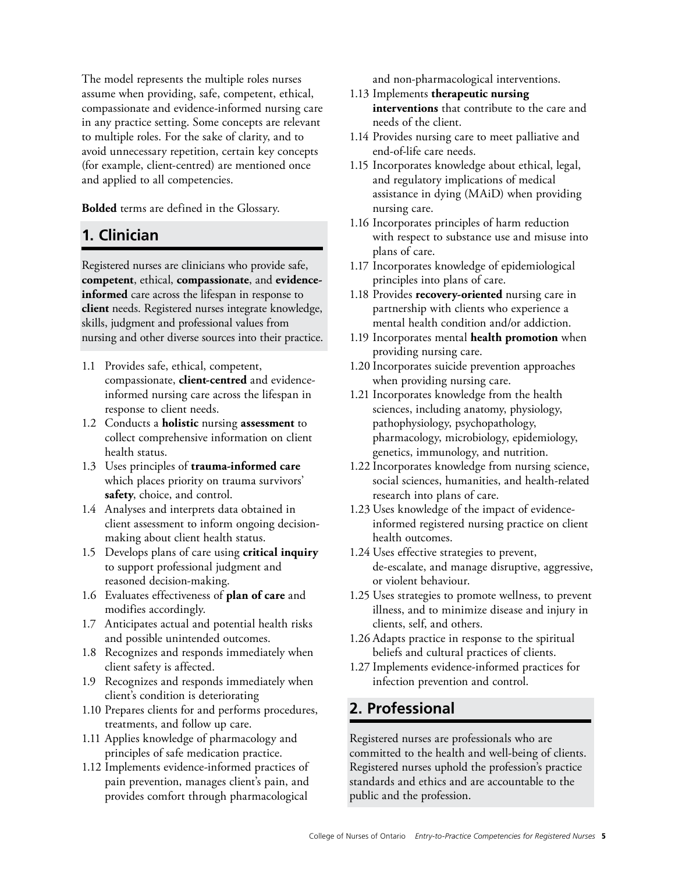<span id="page-4-0"></span>The model represents the multiple roles nurses assume when providing, safe, competent, ethical, compassionate and evidence-informed nursing care in any practice setting. Some concepts are relevant to multiple roles. For the sake of clarity, and to avoid unnecessary repetition, certain key concepts (for example, client-centred) are mentioned once and applied to all competencies.

**Bolded** terms are defined in the Glossary.

# **1. Clinician**

Registered nurses are clinicians who provide safe, **competent**, ethical, **compassionate**, and **evidenceinformed** care across the lifespan in response to **client** needs. Registered nurses integrate knowledge, skills, judgment and professional values from nursing and other diverse sources into their practice.

- 1.1 Provides safe, ethical, competent, compassionate, **client-centred** and evidenceinformed nursing care across the lifespan in response to client needs.
- 1.2 Conducts a **holistic** nursing **assessment** to collect comprehensive information on client health status.
- 1.3 Uses principles of **trauma-informed care**  which places priority on trauma survivors' **safety**, choice, and control.
- 1.4 Analyses and interprets data obtained in client assessment to inform ongoing decisionmaking about client health status.
- 1.5 Develops plans of care using **critical inquiry**  to support professional judgment and reasoned decision-making.
- 1.6 Evaluates effectiveness of **plan of care** and modifies accordingly.
- 1.7 Anticipates actual and potential health risks and possible unintended outcomes.
- 1.8 Recognizes and responds immediately when client safety is affected.
- 1.9 Recognizes and responds immediately when client's condition is deteriorating
- 1.10 Prepares clients for and performs procedures, treatments, and follow up care.
- 1.11 Applies knowledge of pharmacology and principles of safe medication practice.
- 1.12 Implements evidence-informed practices of pain prevention, manages client's pain, and provides comfort through pharmacological

and non-pharmacological interventions.

- 1.13 Implements **therapeutic nursing interventions** that contribute to the care and needs of the client.
- 1.14 Provides nursing care to meet palliative and end-of-life care needs.
- 1.15 Incorporates knowledge about ethical, legal, and regulatory implications of medical assistance in dying (MAiD) when providing nursing care.
- 1.16 Incorporates principles of harm reduction with respect to substance use and misuse into plans of care.
- 1.17 Incorporates knowledge of epidemiological principles into plans of care.
- 1.18 Provides **recovery-oriented** nursing care in partnership with clients who experience a mental health condition and/or addiction.
- 1.19 Incorporates mental **health promotion** when providing nursing care.
- 1.20 Incorporates suicide prevention approaches when providing nursing care.
- 1.21 Incorporates knowledge from the health sciences, including anatomy, physiology, pathophysiology, psychopathology, pharmacology, microbiology, epidemiology, genetics, immunology, and nutrition.
- 1.22 Incorporates knowledge from nursing science, social sciences, humanities, and health-related research into plans of care.
- 1.23 Uses knowledge of the impact of evidenceinformed registered nursing practice on client health outcomes.
- 1.24 Uses effective strategies to prevent, de-escalate, and manage disruptive, aggressive, or violent behaviour.
- 1.25 Uses strategies to promote wellness, to prevent illness, and to minimize disease and injury in clients, self, and others.
- 1.26 Adapts practice in response to the spiritual beliefs and cultural practices of clients.
- 1.27 Implements evidence-informed practices for infection prevention and control.

# **2. Professional**

Registered nurses are professionals who are committed to the health and well-being of clients. Registered nurses uphold the profession's practice standards and ethics and are accountable to the public and the profession.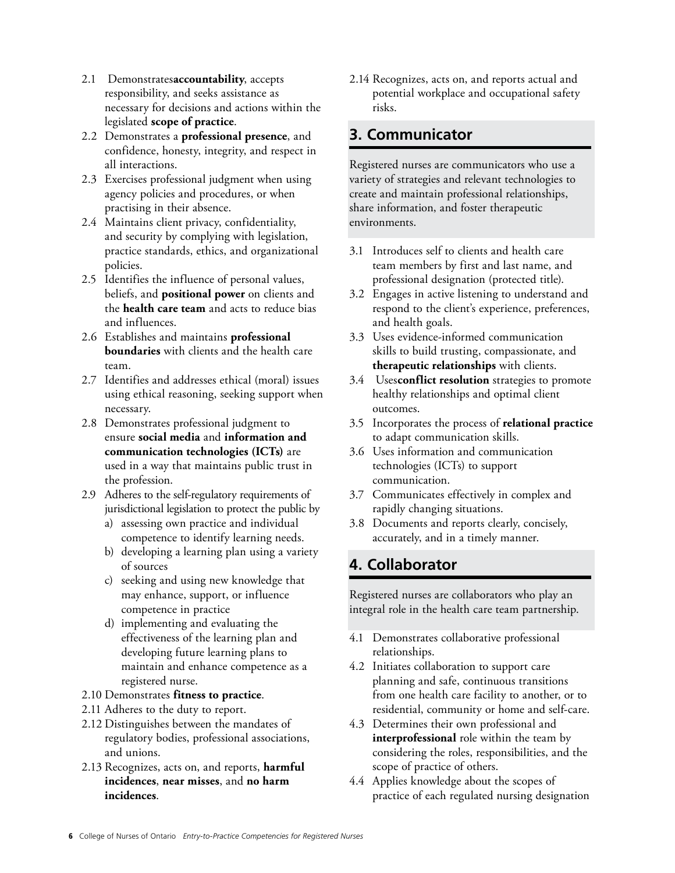- <span id="page-5-0"></span>2.1 Demonstrates **accountability**, accepts responsibility, and seeks assistance as necessary for decisions and actions within the legislated **scope of practice**.
- 2.2 Demonstrates a **professional presence**, and confidence, honesty, integrity, and respect in all interactions.
- 2.3 Exercises professional judgment when using agency policies and procedures, or when practising in their absence.
- 2.4 Maintains client privacy, confidentiality, and security by complying with legislation, practice standards, ethics, and organizational policies.
- 2.5 Identifies the influence of personal values, beliefs, and **positional power** on clients and the **health care team** and acts to reduce bias and influences.
- 2.6 Establishes and maintains **professional boundaries** with clients and the health care team.
- 2.7 Identifies and addresses ethical (moral) issues using ethical reasoning, seeking support when necessary.
- 2.8 Demonstrates professional judgment to ensure **social media** and **information and communication technologies (ICTs)** are used in a way that maintains public trust in the profession.
- 2.9 Adheres to the self-regulatory requirements of jurisdictional legislation to protect the public by
	- a) assessing own practice and individual competence to identify learning needs.
	- b) developing a learning plan using a variety of sources
	- c) seeking and using new knowledge that may enhance, support, or influence competence in practice
	- d) implementing and evaluating the effectiveness of the learning plan and developing future learning plans to maintain and enhance competence as a registered nurse.
- 2.10 Demonstrates **fitness to practice**.
- 2.11 Adheres to the duty to report.
- 2.12 Distinguishes between the mandates of regulatory bodies, professional associations, and unions.
- 2.13 Recognizes, acts on, and reports, **harmful incidences**, **near misses**, and **no harm incidences**.

2.14 Recognizes, acts on, and reports actual and potential workplace and occupational safety risks.

# **3. Communicator**

Registered nurses are communicators who use a variety of strategies and relevant technologies to create and maintain professional relationships, share information, and foster therapeutic environments.

- 3.1 Introduces self to clients and health care team members by first and last name, and professional designation (protected title).
- 3.2 Engages in active listening to understand and respond to the client's experience, preferences, and health goals.
- 3.3 Uses evidence-informed communication skills to build trusting, compassionate, and **therapeutic relationships** with clients.
- 3.4 Uses **conflict resolution** strategies to promote healthy relationships and optimal client outcomes.
- 3.5 Incorporates the process of **relational practice**  to adapt communication skills.
- 3.6 Uses information and communication technologies (ICTs) to support communication.
- 3.7 Communicates effectively in complex and rapidly changing situations.
- 3.8 Documents and reports clearly, concisely, accurately, and in a timely manner.

# **4. Collaborator**

Registered nurses are collaborators who play an integral role in the health care team partnership.

- 4.1 Demonstrates collaborative professional relationships.
- 4.2 Initiates collaboration to support care planning and safe, continuous transitions from one health care facility to another, or to residential, community or home and self-care.
- 4.3 Determines their own professional and **interprofessional** role within the team by considering the roles, responsibilities, and the scope of practice of others.
- 4.4 Applies knowledge about the scopes of practice of each regulated nursing designation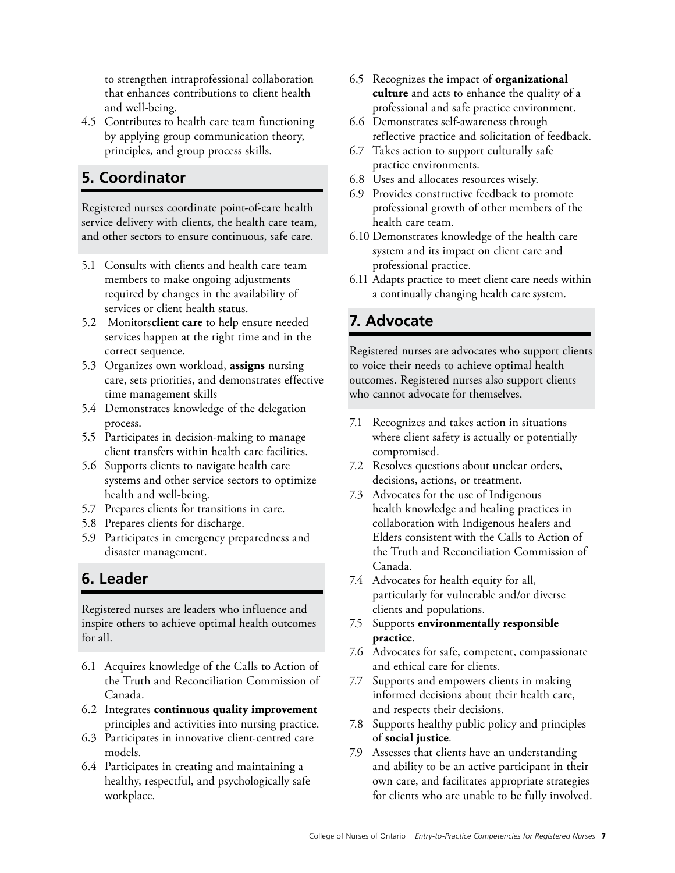<span id="page-6-0"></span>to strengthen intraprofessional collaboration that enhances contributions to client health and well-being.

4.5 Contributes to health care team functioning by applying group communication theory, principles, and group process skills.

# **5. Coordinator**

Registered nurses coordinate point-of-care health service delivery with clients, the health care team, and other sectors to ensure continuous, safe care.

- 5.1 Consults with clients and health care team members to make ongoing adjustments required by changes in the availability of services or client health status.
- 5.2 Monitors **client care** to help ensure needed services happen at the right time and in the correct sequence.
- 5.3 Organizes own workload, **assigns** nursing care, sets priorities, and demonstrates effective time management skills
- 5.4 Demonstrates knowledge of the delegation process.
- 5.5 Participates in decision-making to manage client transfers within health care facilities.
- 5.6 Supports clients to navigate health care systems and other service sectors to optimize health and well-being.
- 5.7 Prepares clients for transitions in care.
- 5.8 Prepares clients for discharge.
- 5.9 Participates in emergency preparedness and disaster management.

# **6. Leader**

Registered nurses are leaders who influence and inspire others to achieve optimal health outcomes for all.

- 6.1 Acquires knowledge of the Calls to Action of the Truth and Reconciliation Commission of Canada.
- 6.2 Integrates **continuous quality improvement**  principles and activities into nursing practice.
- 6.3 Participates in innovative client-centred care models.
- 6.4 Participates in creating and maintaining a healthy, respectful, and psychologically safe workplace.
- 6.5 Recognizes the impact of **organizational culture** and acts to enhance the quality of a professional and safe practice environment.
- 6.6 Demonstrates self-awareness through reflective practice and solicitation of feedback.
- 6.7 Takes action to support culturally safe practice environments.
- 6.8 Uses and allocates resources wisely.
- 6.9 Provides constructive feedback to promote professional growth of other members of the health care team.
- 6.10 Demonstrates knowledge of the health care system and its impact on client care and professional practice.
- 6.11 Adapts practice to meet client care needs within a continually changing health care system.

# **7. Advocate**

Registered nurses are advocates who support clients to voice their needs to achieve optimal health outcomes. Registered nurses also support clients who cannot advocate for themselves.

- 7.1 Recognizes and takes action in situations where client safety is actually or potentially compromised.
- 7.2 Resolves questions about unclear orders, decisions, actions, or treatment.
- 7.3 Advocates for the use of Indigenous health knowledge and healing practices in collaboration with Indigenous healers and Elders consistent with the Calls to Action of the Truth and Reconciliation Commission of Canada.
- 7.4 Advocates for health equity for all, particularly for vulnerable and/or diverse clients and populations.
- 7.5 Supports **environmentally responsible practice**.
- 7.6 Advocates for safe, competent, compassionate and ethical care for clients.
- 7.7 Supports and empowers clients in making informed decisions about their health care, and respects their decisions.
- 7.8 Supports healthy public policy and principles of **social justice**.
- 7.9 Assesses that clients have an understanding and ability to be an active participant in their own care, and facilitates appropriate strategies for clients who are unable to be fully involved.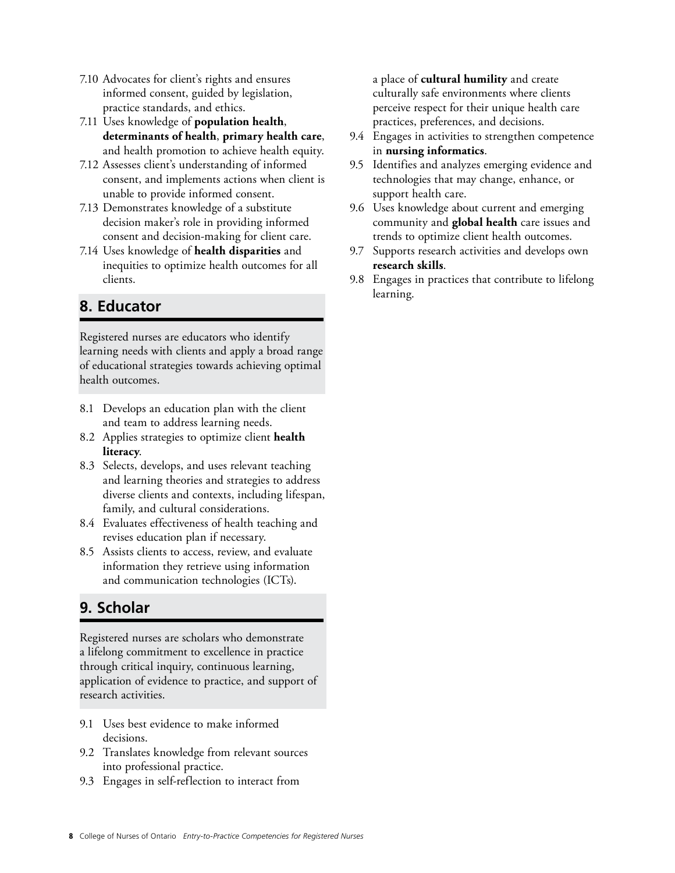- <span id="page-7-0"></span>7.10 Advocates for client's rights and ensures informed consent, guided by legislation, practice standards, and ethics.
- 7.11 Uses knowledge of **population health**, **determinants of health**, **primary health care**, and health promotion to achieve health equity.
- 7.12 Assesses client's understanding of informed consent, and implements actions when client is unable to provide informed consent.
- 7.13 Demonstrates knowledge of a substitute decision maker's role in providing informed consent and decision-making for client care.
- 7.14 Uses knowledge of **health disparities** and inequities to optimize health outcomes for all clients.

# **8. Educator**

Registered nurses are educators who identify learning needs with clients and apply a broad range of educational strategies towards achieving optimal health outcomes.

- 8.1 Develops an education plan with the client and team to address learning needs.
- 8.2 Applies strategies to optimize client **health literacy**.
- 8.3 Selects, develops, and uses relevant teaching and learning theories and strategies to address diverse clients and contexts, including lifespan, family, and cultural considerations.
- 8.4 Evaluates effectiveness of health teaching and revises education plan if necessary.
- 8.5 Assists clients to access, review, and evaluate information they retrieve using information and communication technologies (ICTs).

# **9. Scholar**

Registered nurses are scholars who demonstrate a lifelong commitment to excellence in practice through critical inquiry, continuous learning, application of evidence to practice, and support of research activities.

- 9.1 Uses best evidence to make informed decisions.
- 9.2 Translates knowledge from relevant sources into professional practice.
- 9.3 Engages in self-reflection to interact from

a place of **cultural humility** and create culturally safe environments where clients perceive respect for their unique health care practices, preferences, and decisions.

- 9.4 Engages in activities to strengthen competence in **nursing informatics**.
- 9.5 Identifies and analyzes emerging evidence and technologies that may change, enhance, or support health care.
- 9.6 Uses knowledge about current and emerging community and **global health** care issues and trends to optimize client health outcomes.
- 9.7 Supports research activities and develops own **research skills**.
- 9.8 Engages in practices that contribute to lifelong learning.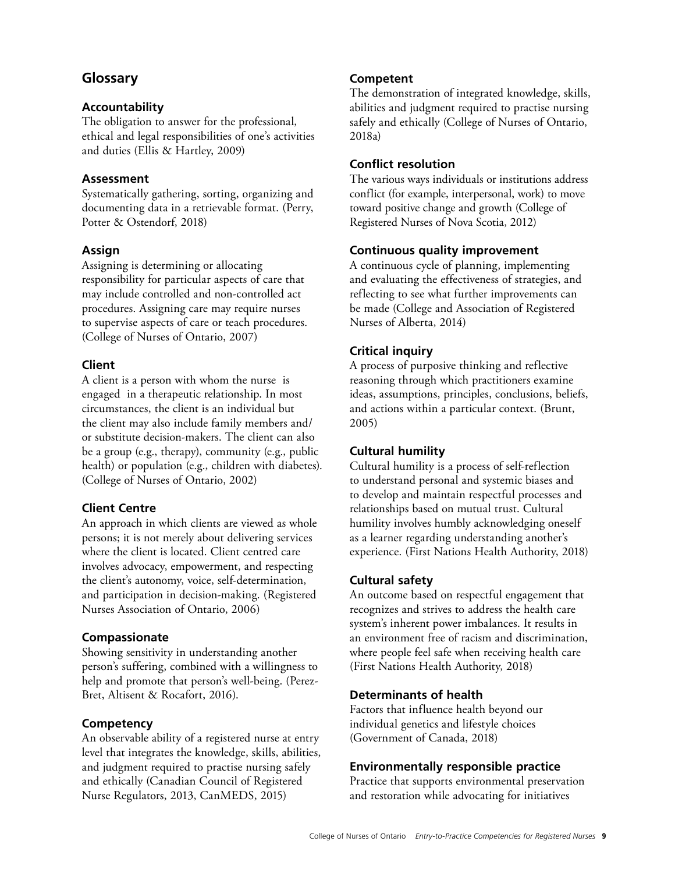# <span id="page-8-0"></span>**Glossary**

### **Accountability**

The obligation to answer for the professional, ethical and legal responsibilities of one's activities and duties (Ellis & Hartley, 2009)

### **Assessment**

Systematically gathering, sorting, organizing and documenting data in a retrievable format. (Perry, Potter & Ostendorf, 2018)

### **Assign**

Assigning is determining or allocating responsibility for particular aspects of care that may include controlled and non-controlled act procedures. Assigning care may require nurses to supervise aspects of care or teach procedures. (College of Nurses of Ontario, 2007)

### **Client**

A client is a person with whom the nurse is engaged in a therapeutic relationship. In most circumstances, the client is an individual but the client may also include family members and/ or substitute decision-makers. The client can also be a group (e.g., therapy), community (e.g., public health) or population (e.g., children with diabetes). (College of Nurses of Ontario, 2002)

### **Client Centre**

An approach in which clients are viewed as whole persons; it is not merely about delivering services where the client is located. Client centred care involves advocacy, empowerment, and respecting the client's autonomy, voice, self-determination, and participation in decision-making. (Registered Nurses Association of Ontario, 2006)

### **Compassionate**

Showing sensitivity in understanding another person's suffering, combined with a willingness to help and promote that person's well-being. (Perez-Bret, Altisent & Rocafort, 2016).

### **Competency**

An observable ability of a registered nurse at entry level that integrates the knowledge, skills, abilities, and judgment required to practise nursing safely and ethically (Canadian Council of Registered Nurse Regulators, 2013, CanMEDS, 2015)

### **Competent**

The demonstration of integrated knowledge, skills, abilities and judgment required to practise nursing safely and ethically (College of Nurses of Ontario, 2018a)

### **Conflict resolution**

The various ways individuals or institutions address conflict (for example, interpersonal, work) to move toward positive change and growth (College of Registered Nurses of Nova Scotia, 2012)

### **Continuous quality improvement**

A continuous cycle of planning, implementing and evaluating the effectiveness of strategies, and reflecting to see what further improvements can be made (College and Association of Registered Nurses of Alberta, 2014)

### **Critical inquiry**

A process of purposive thinking and reflective reasoning through which practitioners examine ideas, assumptions, principles, conclusions, beliefs, and actions within a particular context. (Brunt, 2005)

### **Cultural humility**

Cultural humility is a process of self-reflection to understand personal and systemic biases and to develop and maintain respectful processes and relationships based on mutual trust. Cultural humility involves humbly acknowledging oneself as a learner regarding understanding another's experience. (First Nations Health Authority, 2018)

### **Cultural safety**

An outcome based on respectful engagement that recognizes and strives to address the health care system's inherent power imbalances. It results in an environment free of racism and discrimination, where people feel safe when receiving health care (First Nations Health Authority, 2018)

### **Determinants of health**

Factors that influence health beyond our individual genetics and lifestyle choices (Government of Canada, 2018)

### **Environmentally responsible practice**

Practice that supports environmental preservation and restoration while advocating for initiatives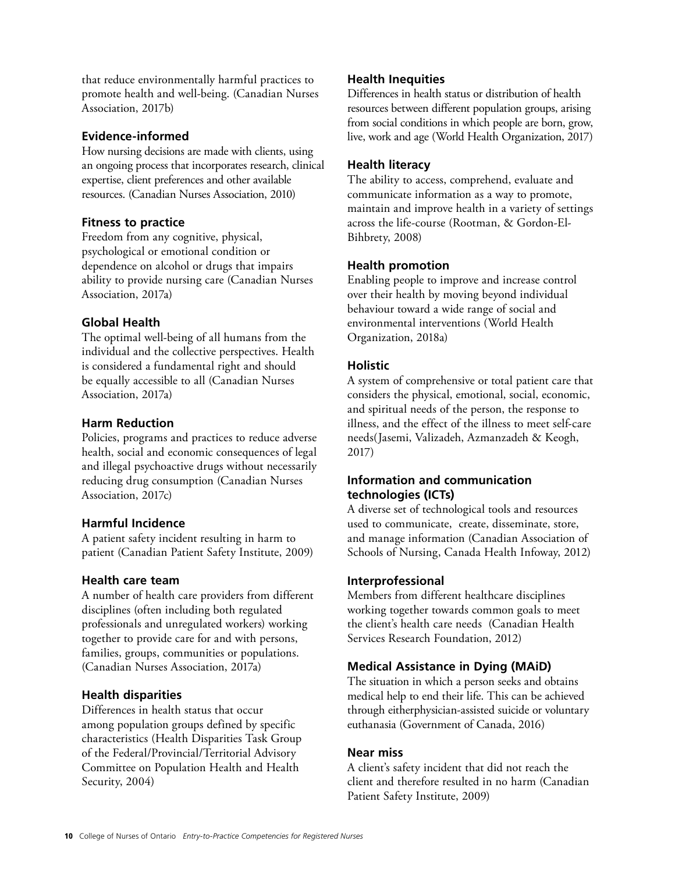that reduce environmentally harmful practices to promote health and well-being. (Canadian Nurses Association, 2017b)

### **Evidence-informed**

How nursing decisions are made with clients, using an ongoing process that incorporates research, clinical expertise, client preferences and other available resources. (Canadian Nurses Association, 2010)

### **Fitness to practice**

Freedom from any cognitive, physical, psychological or emotional condition or dependence on alcohol or drugs that impairs ability to provide nursing care (Canadian Nurses Association, 2017a)

### **Global Health**

The optimal well-being of all humans from the individual and the collective perspectives. Health is considered a fundamental right and should be equally accessible to all (Canadian Nurses Association, 2017a)

### **Harm Reduction**

Policies, programs and practices to reduce adverse health, social and economic consequences of legal and illegal psychoactive drugs without necessarily reducing drug consumption (Canadian Nurses Association, 2017c)

### **Harmful Incidence**

A patient safety incident resulting in harm to patient (Canadian Patient Safety Institute, 2009)

### **Health care team**

A number of health care providers from different disciplines (often including both regulated professionals and unregulated workers) working together to provide care for and with persons, families, groups, communities or populations. (Canadian Nurses Association, 2017a)

### **Health disparities**

Differences in health status that occur among population groups defined by specific characteristics (Health Disparities Task Group of the Federal/Provincial/Territorial Advisory Committee on Population Health and Health Security, 2004)

### **Health Inequities**

Differences in health status or distribution of health resources between different population groups, arising from social conditions in which people are born, grow, live, work and age (World Health Organization, 2017)

### **Health literacy**

The ability to access, comprehend, evaluate and communicate information as a way to promote, maintain and improve health in a variety of settings across the life-course (Rootman, & Gordon-El-Bihbrety, 2008)

### **Health promotion**

Enabling people to improve and increase control over their health by moving beyond individual behaviour toward a wide range of social and environmental interventions (World Health Organization, 2018a)

### **Holistic**

A system of comprehensive or total patient care that considers the physical, emotional, social, economic, and spiritual needs of the person, the response to illness, and the effect of the illness to meet self-care needs(Jasemi, Valizadeh, Azmanzadeh & Keogh, 2017)

### **Information and communication technologies (ICTs)**

A diverse set of technological tools and resources used to communicate, create, disseminate, store, and manage information (Canadian Association of Schools of Nursing, Canada Health Infoway, 2012)

### **Interprofessional**

Members from different healthcare disciplines working together towards common goals to meet the client's health care needs (Canadian Health Services Research Foundation, 2012)

### **Medical Assistance in Dying (MAiD)**

The situation in which a person seeks and obtains medical help to end their life. This can be achieved through eitherphysician-assisted suicide or voluntary euthanasia (Government of Canada, 2016)

### **Near miss**

A client's safety incident that did not reach the client and therefore resulted in no harm (Canadian Patient Safety Institute, 2009)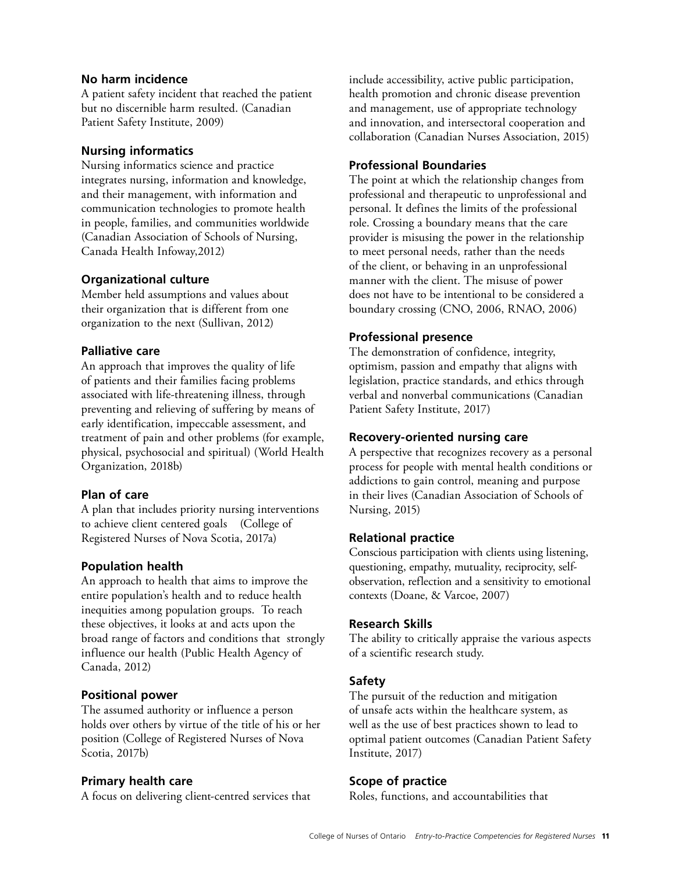### **No harm incidence**

A patient safety incident that reached the patient but no discernible harm resulted. (Canadian Patient Safety Institute, 2009)

### **Nursing informatics**

Nursing informatics science and practice integrates nursing, information and knowledge, and their management, with information and communication technologies to promote health in people, families, and communities worldwide (Canadian Association of Schools of Nursing, Canada Health Infoway,2012)

### **Organizational culture**

Member held assumptions and values about their organization that is different from one organization to the next (Sullivan, 2012)

### **Palliative care**

An approach that improves the quality of life of patients and their families facing problems associated with life-threatening illness, through preventing and relieving of suffering by means of early identification, impeccable assessment, and treatment of pain and other problems (for example, physical, psychosocial and spiritual) (World Health Organization, 2018b)

### **Plan of care**

A plan that includes priority nursing interventions to achieve client centered goals (College of Registered Nurses of Nova Scotia, 2017a)

### **Population health**

An approach to health that aims to improve the entire population's health and to reduce health inequities among population groups. To reach these objectives, it looks at and acts upon the broad range of factors and conditions that strongly influence our health (Public Health Agency of Canada, 2012)

### **Positional power**

The assumed authority or influence a person holds over others by virtue of the title of his or her position (College of Registered Nurses of Nova Scotia, 2017b)

### **Primary health care**

A focus on delivering client-centred services that

include accessibility, active public participation, health promotion and chronic disease prevention and management, use of appropriate technology and innovation, and intersectoral cooperation and collaboration (Canadian Nurses Association, 2015)

### **Professional Boundaries**

The point at which the relationship changes from professional and therapeutic to unprofessional and personal. It defines the limits of the professional role. Crossing a boundary means that the care provider is misusing the power in the relationship to meet personal needs, rather than the needs of the client, or behaving in an unprofessional manner with the client. The misuse of power does not have to be intentional to be considered a boundary crossing (CNO, 2006, RNAO, 2006)

### **Professional presence**

The demonstration of confidence, integrity, optimism, passion and empathy that aligns with legislation, practice standards, and ethics through verbal and nonverbal communications (Canadian Patient Safety Institute, 2017)

### **Recovery-oriented nursing care**

A perspective that recognizes recovery as a personal process for people with mental health conditions or addictions to gain control, meaning and purpose in their lives (Canadian Association of Schools of Nursing, 2015)

### **Relational practice**

Conscious participation with clients using listening, questioning, empathy, mutuality, reciprocity, selfobservation, reflection and a sensitivity to emotional contexts (Doane, & Varcoe, 2007)

### **Research Skills**

The ability to critically appraise the various aspects of a scientific research study.

### **Safety**

The pursuit of the reduction and mitigation of unsafe acts within the healthcare system, as well as the use of best practices shown to lead to optimal patient outcomes (Canadian Patient Safety Institute, 2017)

### **Scope of practice**

Roles, functions, and accountabilities that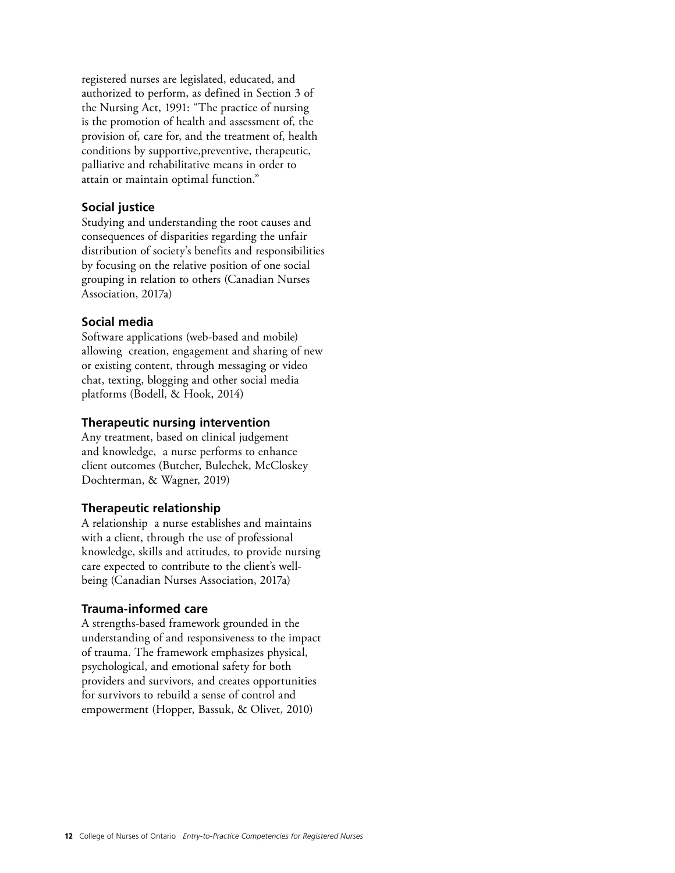registered nurses are legislated, educated, and authorized to perform, as defined in Section 3 of the Nursing Act, 1991: "The practice of nursing is the promotion of health and assessment of, the provision of, care for, and the treatment of, health conditions by supportive, preventive, therapeutic, palliative and rehabilitative means in order to attain or maintain optimal function."

### **Social justice**

Studying and understanding the root causes and consequences of disparities regarding the unfair distribution of society's benefits and responsibilities by focusing on the relative position of one social grouping in relation to others (Canadian Nurses Association, 2017a)

### **Social media**

Software applications (web-based and mobile) allowing creation, engagement and sharing of new or existing content, through messaging or video chat, texting, blogging and other social media platforms (Bodell, & Hook, 2014)

### **Therapeutic nursing intervention**

Any treatment, based on clinical judgement and knowledge, a nurse performs to enhance client outcomes (Butcher, Bulechek, McCloskey Dochterman, & Wagner, 2019)

### **Therapeutic relationship**

A relationship a nurse establishes and maintains with a client, through the use of professional knowledge, skills and attitudes, to provide nursing care expected to contribute to the client's wellbeing (Canadian Nurses Association, 2017a)

### **Trauma-informed care**

A strengths-based framework grounded in the understanding of and responsiveness to the impact of trauma. The framework emphasizes physical, psychological, and emotional safety for both providers and survivors, and creates opportunities for survivors to rebuild a sense of control and empowerment (Hopper, Bassuk, & Olivet, 2010)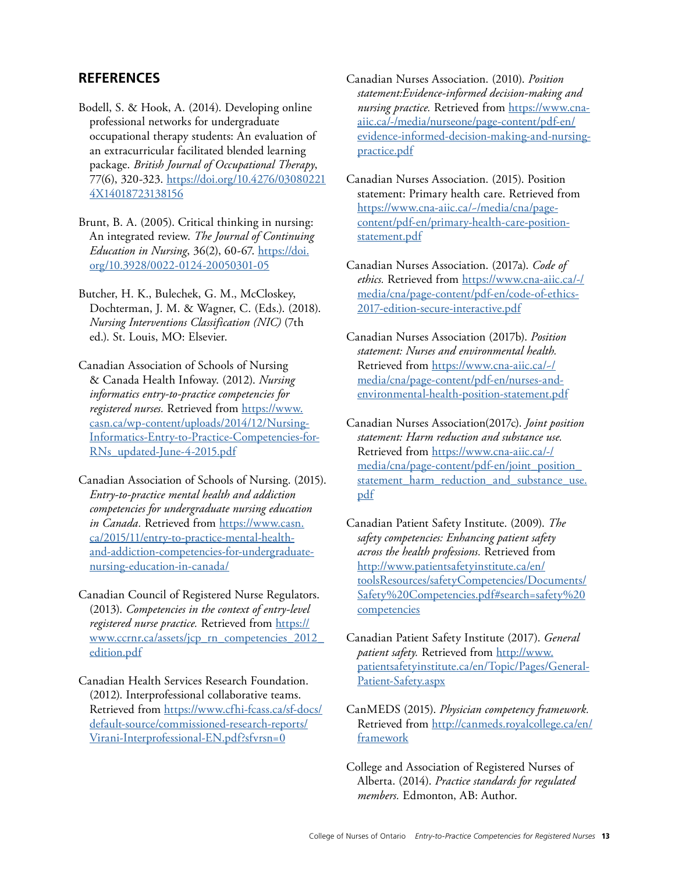### <span id="page-12-0"></span>**REFERENCES**

- Bodell, S. & Hook, A. (2014). Developing online professional networks for undergraduate occupational therapy students: An evaluation of an extracurricular facilitated blended learning package. *British Journal of Occupational Therapy*, 77(6), 320-323. https://doi.org/10.4276/03080221 [4X14018723138156](https://doi.org/10.4276/030802214X14018723138156)
- Brunt, B. A. (2005). Critical thinking in nursing: An integrated review. *The Journal of Continuing Education in Nursing*, 36(2), 60-67. https://doi. [org/10.3928/0022-0124-20050301-05](https://doi.org/10.3928/0022-0124-20050301-05)
- Butcher, H. K., Bulechek, G. M., McCloskey, Dochterman, J. M. & Wagner, C. (Eds.). (2018). *Nursing Interventions Classification (NIC)* (7th ed.). St. Louis, MO: Elsevier.
- Canadian Association of Schools of Nursing & Canada Health Infoway. (2012). *Nursing informatics entry-to-practice competencies for registered nurses.* Retrieved from https://www. [casn.ca/wp-content/uploads/2014/12/Nursing-](https://www.casn.ca/wp-content/uploads/2014/12/Nursing-Informatics-Entry-to-Practice-Competencies-for-RNs_updated-June-4-2015.pdf)[Informatics-Entry-to-Practice-Competencies-for-](https://www.casn.ca/wp-content/uploads/2014/12/Nursing-Informatics-Entry-to-Practice-Competencies-for-RNs_updated-June-4-2015.pdf)[RNs\\_updated-June-4-2015.pdf](https://www.casn.ca/wp-content/uploads/2014/12/Nursing-Informatics-Entry-to-Practice-Competencies-for-RNs_updated-June-4-2015.pdf)
- Canadian Association of Schools of Nursing. (2015). *Entry-to-practice mental health and addiction competencies for undergraduate nursing education in Canada.* Retrieved from https://www.casn. [ca/2015/11/entry-to-practice-mental-health](https://www.casn.ca/2015/11/entry-to-practice-mental-health-and-addiction-competencies-for-undergraduate-nursing-education-in-canada/)[and-addiction-competencies-for-undergraduate](https://www.casn.ca/2015/11/entry-to-practice-mental-health-and-addiction-competencies-for-undergraduate-nursing-education-in-canada/)[nursing-education-in-canada/](https://www.casn.ca/2015/11/entry-to-practice-mental-health-and-addiction-competencies-for-undergraduate-nursing-education-in-canada/)
- Canadian Council of Registered Nurse Regulators. (2013). *Competencies in the context of entry-level registered nurse practice.* Retrieved from [https://](https://www.ccrnr.ca/assets/jcp_rn_competencies_2012_edition.pdf)  www.ccrnr.ca/assets/jcp\_rn\_competencies\_2012\_ [edition.pdf](https://www.ccrnr.ca/assets/jcp_rn_competencies_2012_edition.pdf)
- Canadian Health Services Research Foundation. (2012). Interprofessional collaborative teams. Retrieved from https://www.cfhi-fcass.ca/sf-docs/ [default-source/commissioned-research-reports/](https://www.cfhi-fcass.ca/sf-docs/default-source/commissioned-research-reports/Virani-Interprofessional-EN.pdf?sfvrsn=0)  [Virani-Interprofessional-EN.pdf?sfvrsn=0](https://www.cfhi-fcass.ca/sf-docs/default-source/commissioned-research-reports/Virani-Interprofessional-EN.pdf?sfvrsn=0)
- Canadian Nurses Association. (2010). *Position statement:Evidence-informed decision-making and nursing practice.* Retrieved from https://www.cna[aiic.ca/-/media/nurseone/page-content/pdf-en/](https://www.cna-aiic.ca/-/media/nurseone/page-content/pdf-en/evidence-informed-decision-making-and-nursing-practice.pdf)  [evidence-informed-decision-making-and-nursing](https://www.cna-aiic.ca/-/media/nurseone/page-content/pdf-en/evidence-informed-decision-making-and-nursing-practice.pdf)[practice.pdf](https://www.cna-aiic.ca/-/media/nurseone/page-content/pdf-en/evidence-informed-decision-making-and-nursing-practice.pdf)
- Canadian Nurses Association. (2015). Position statement: Primary health care. Retrieved from https://www.cna-aiic.ca/~/media/cna/page[content/pdf-en/primary-health-care-position](https://www.cna-aiic.ca/~/media/cna/page-content/pdf-en/primary-health-care-position-statement.pdf)statement.pdf
- Canadian Nurses Association. (2017a). *Code of ethics.* Retrieved from https://www.cna-aiic.ca/-/ [media/cna/page-content/pdf-en/code-of-ethics-](https://www.cna-aiic.ca/-/media/cna/page-content/pdf-en/code-of-ethics-2017-edition-secure-interactive.pdf)[2017-edition-secure-interactive.pdf](https://www.cna-aiic.ca/-/media/cna/page-content/pdf-en/code-of-ethics-2017-edition-secure-interactive.pdf)
- Canadian Nurses Association (2017b). *Position statement: Nurses and environmental health.*  Retrieved from https://www.cna-aiic.ca/~/ [media/cna/page-content/pdf-en/nurses-and](https://www.cna-aiic.ca/~/media/cna/page-content/pdf-en/nurses-and-environmental-health-position-statement.pdf)[environmental-health-position-statement.pdf](https://www.cna-aiic.ca/~/media/cna/page-content/pdf-en/nurses-and-environmental-health-position-statement.pdf)
- Canadian Nurses Association(2017c). *Joint position statement: Harm reduction and substance use.*  Retrieved from https://www.cna-aiic.ca/-/ [media/cna/page-content/pdf-en/joint\\_position\\_](https://www.cna-aiic.ca/-/media/cna/page-content/pdf-en/joint_position_statement_harm_reduction_and_substance_use.pdf) statement harm reduction and substance use. [pdf](https://www.cna-aiic.ca/-/media/cna/page-content/pdf-en/joint_position_statement_harm_reduction_and_substance_use.pdf)
- Canadian Patient Safety Institute. (2009). *The safety competencies: Enhancing patient safety across the health professions.* Retrieved from http://www.patientsafetyinstitute.ca/en/ [toolsResources/safetyCompetencies/Documents/](http://www.patientsafetyinstitute.ca/en/toolsResources/safetyCompetencies/Documents/Safety%20Competencies.pdf#search=safety%20competencies)  [Safety%20Competencies.pdf#search=safety%20](http://www.patientsafetyinstitute.ca/en/toolsResources/safetyCompetencies/Documents/Safety%20Competencies.pdf#search=safety%20competencies)  [competencies](http://www.patientsafetyinstitute.ca/en/toolsResources/safetyCompetencies/Documents/Safety%20Competencies.pdf#search=safety%20competencies)
- Canadian Patient Safety Institute (2017). *General patient safety.* Retrieved from http://www. [patientsafetyinstitute.ca/en/Topic/Pages/General-](http://www.patientsafetyinstitute.ca/en/Topic/Pages/General-Patient-Safety.aspx)[Patient-Safety.aspx](http://www.patientsafetyinstitute.ca/en/Topic/Pages/General-Patient-Safety.aspx)
- CanMEDS (2015). *Physician competency framework.*  Retrieved from http://canmeds.royalcollege.ca/en/ [framework](http://canmeds.royalcollege.ca/en/framework)
- College and Association of Registered Nurses of Alberta. (2014). *Practice standards for regulated members.* Edmonton, AB: Author.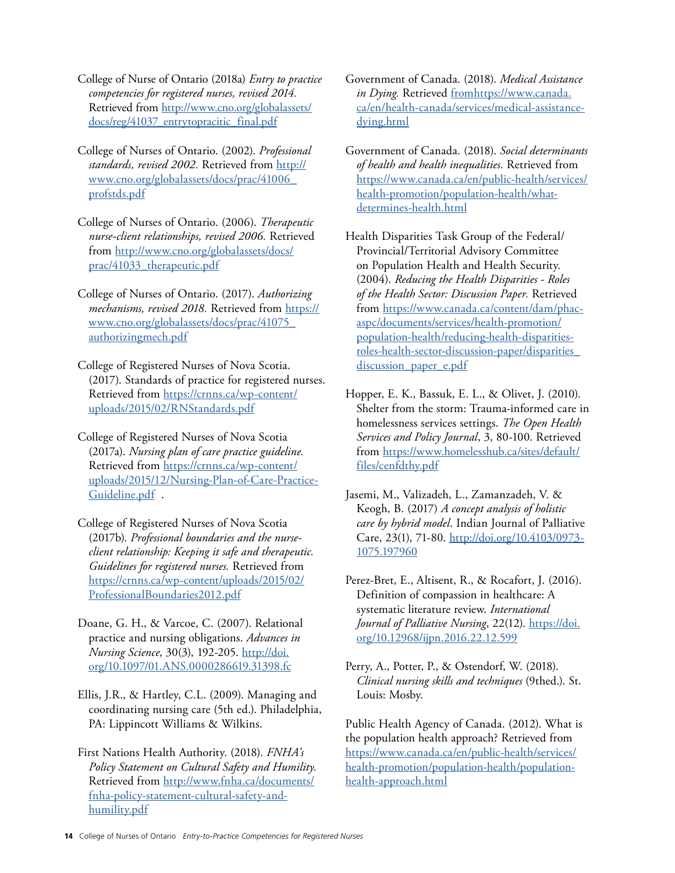- College of Nurse of Ontario (2018a) *Entry to practice competencies for registered nurses, revised 2014.*  Retrieved from http://www.cno.org/globalassets/ [docs/reg/41037\\_entrytopracitic\\_final.pdf](http://www.cno.org/globalassets/docs/reg/41037_entrytopracitic_final.pdf)
- College of Nurses of Ontario. (2002). *Professional standards, revised 2002.* Retrieved from [http://](http://www.cno.org/globalassets/docs/prac/41006_ profstds.pdf) www.cno.org/globalassets/docs/prac/41006\_ [profstds.pdf](http://www.cno.org/globalassets/docs/prac/41006_ profstds.pdf)
- College of Nurses of Ontario. (2006). *Therapeutic nurse-client relationships, revised 2006.* Retrieved from http://www.cno.org/globalassets/docs/ prac/41033\_therapeutic.pdf
- College of Nurses of Ontario. (2017). *Authorizing mechanisms, revised 2018.* Retrieved from [https://](https://www.cno.org/globalassets/docs/prac/41075_authorizingmech.pdf)  www.cno.org/globalassets/docs/prac/41075\_ [authorizingmech.pdf](https://www.cno.org/globalassets/docs/prac/41075_authorizingmech.pdf)
- College of Registered Nurses of Nova Scotia. (2017). Standards of practice for registered nurses. Retrieved from https://crnns.ca/wp-content/ [uploads/2015/02/RNStandards.pdf](https://crnns.ca/wp-content/uploads/2015/02/RNStandards.pdf)
- College of Registered Nurses of Nova Scotia (2017a). *Nursing plan of care practice guideline.*  Retrieved from https://crnns.ca/wp-content/ [uploads/2015/12/Nursing-Plan-of-Care-Practice-](https://crnns.ca/wp-content/uploads/2015/12/Nursing-Plan-of-Care-Practice-Guideline.pdf)[Guideline.pdf](https://crnns.ca/wp-content/uploads/2015/12/Nursing-Plan-of-Care-Practice-Guideline.pdf) .
- College of Registered Nurses of Nova Scotia (2017b). *Professional boundaries and the nurseclient relationship: Keeping it safe and therapeutic. Guidelines for registered nurses.* Retrieved from https://crnns.ca/wp-content/uploads/2015/02/ [ProfessionalBoundaries2012.pdf](https://crnns.ca/wp-content/uploads/2015/02/ProfessionalBoundaries2012.pdf)
- Doane, G. H., & Varcoe, C. (2007). Relational practice and nursing obligations. *Advances in Nursing Science*, 30(3), 192-205. http://doi. org/10.1097/01.ANS.0000286619.31398.fc
- Ellis, J.R., & Hartley, C.L. (2009). Managing and coordinating nursing care (5th ed.). Philadelphia, PA: Lippincott Williams & Wilkins.
- First Nations Health Authority. (2018). *FNHA's Policy Statement on Cultural Safety and Humility.*  Retrieved from http://www.fnha.ca/documents/ [fnha-policy-statement-cultural-safety-and](http://www.fnha.ca/documents/fnha-policy-statement-cultural-safety-and-humility.pdf)[humility.pdf](http://www.fnha.ca/documents/fnha-policy-statement-cultural-safety-and-humility.pdf)
- Government of Canada. (2018). *Medical Assistance in Dying.* Retrieved from[https://www.canada.](https://www.canada.ca/en/health-canada/services/medical-assistance-dying.html)  [ca/en/health-canada/services/medical-assistance](https://www.canada.ca/en/health-canada/services/medical-assistance-dying.html)[dying.html](https://www.canada.ca/en/health-canada/services/medical-assistance-dying.html)
- Government of Canada. (2018). *Social determinants of health and health inequalities.* Retrieved from https://www.canada.ca/en/public-health/services/ [health-promotion/population-health/what](https://www.canada.ca/en/public-health/services/health-promotion/population-health/what-determines-health.html)[determines-health.html](https://www.canada.ca/en/public-health/services/health-promotion/population-health/what-determines-health.html)
- Health Disparities Task Group of the Federal/ Provincial/Territorial Advisory Committee on Population Health and Health Security. (2004). *Reducing the Health Disparities - Roles of the Health Sector: Discussion Paper.* Retrieved from https://www.canada.ca/content/dam/phac [aspc/documents/services/health-promotion/](https://www.canada.ca/content/dam/phac-aspc/documents/services/health-promotion/population-health/reducing-health-disparities-roles-health-sector-discussion-paper/disparities_discussion_paper_e.pdf)  [population-health/reducing-health-disparities](https://www.canada.ca/content/dam/phac-aspc/documents/services/health-promotion/population-health/reducing-health-disparities-roles-health-sector-discussion-paper/disparities_discussion_paper_e.pdf)[roles-health-sector-discussion-paper/disparities\\_](https://www.canada.ca/content/dam/phac-aspc/documents/services/health-promotion/population-health/reducing-health-disparities-roles-health-sector-discussion-paper/disparities_discussion_paper_e.pdf) discussion\_paper\_e.pdf
- Hopper, E. K., Bassuk, E. L., & Olivet, J. (2010). Shelter from the storm: Trauma-informed care in homelessness services settings. *The Open Health Services and Policy Journal*, 3, 80-100. Retrieved from https://www.homelesshub.ca/sites/default/ [files/cenfdthy.pdf](https://www.homelesshub.ca/sites/default/files/cenfdthy.pdf)
- Jasemi, M., Valizadeh, L., Zamanzadeh, V. & Keogh, B. (2017) *A concept analysis of holistic care by hybrid model*. Indian Journal of Palliative Care, 23(1), 71-80. http://doi.org/10.4103/0973-[1075.197960](http://doi.org/10.4103/0973-1075.197960)
- Perez-Bret, E., Altisent, R., & Rocafort, J. (2016). Definition of compassion in healthcare: A systematic literature review. *International Journal of Palliative Nursing*, 22(12). https://doi. [org/10.12968/ijpn.2016.22.12.599](https://doi.org/10.12968/ijpn.2016.22.12.599)
- Perry, A., Potter, P., & Ostendorf, W. (2018). *Clinical nursing skills and techniques* (9thed.). St. Louis: Mosby.

Public Health Agency of Canada. (2012). What is the population health approach? Retrieved from https://www.canada.ca/en/public-health/services/ [health-promotion/population-health/population](https://www.canada.ca/en/public-health/services/health-promotion/population-health/population-health-approach.html)[health-approach.html](https://www.canada.ca/en/public-health/services/health-promotion/population-health/population-health-approach.html)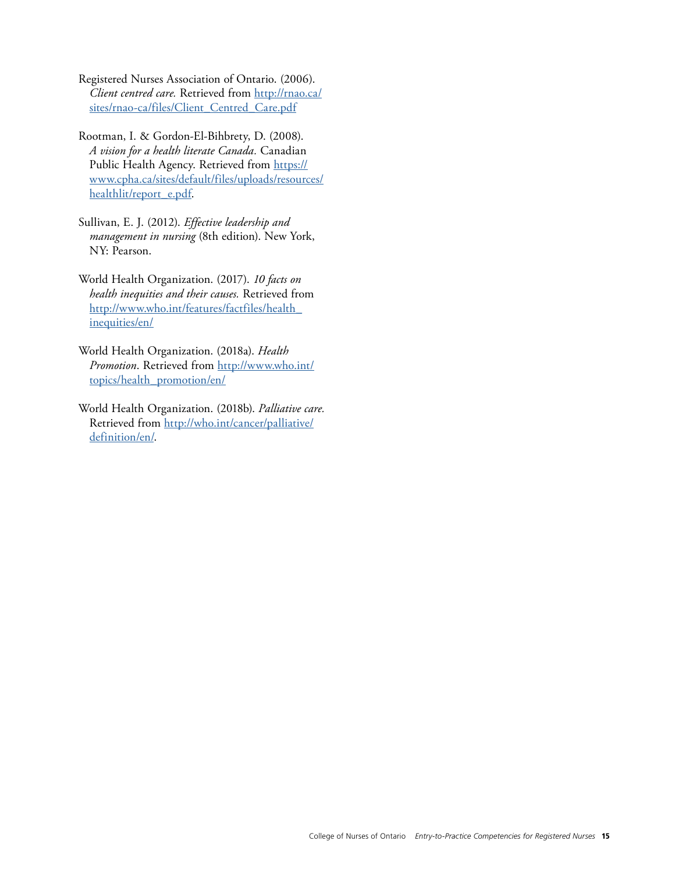- Registered Nurses Association of Ontario. (2006). *Client centred care.* Retrieved from http://rnao.ca/ sites/rnao-ca/files/Client\_Centred\_Care.pdf
- Rootman, I. & Gordon-El-Bihbrety, D. (2008). *A vision for a health literate Canada.* Canadian Public Health Agency. Retrieved from https:// www.cpha.ca/sites/default/files/uploads/resources/ [healthlit/report\\_e.pdf.](https://www.cpha.ca/sites/default/files/uploads/resources/healthlit/report_e.pdf)
- Sullivan, E. J. (2012). *Effective leadership and management in nursing* (8th edition). New York, NY: Pearson.
- World Health Organization. (2017). *10 facts on health inequities and their causes.* Retrieved from http://www.who.int/features/factfiles/health\_ [inequities/en/](http://www.who.int/features/factfiles/health_inequities/en/)
- World Health Organization. (2018a). *Health Promotion*. Retrieved from http://www.who.int/ [topics/health\\_promotion/en/](http://www.who.int/topics/health_promotion/en/)
- World Health Organization. (2018b). *Palliative care.*  Retrieved from http://who.int/cancer/palliative/ [definition/en/.](http://who.int/cancer/palliative/definition/en/)